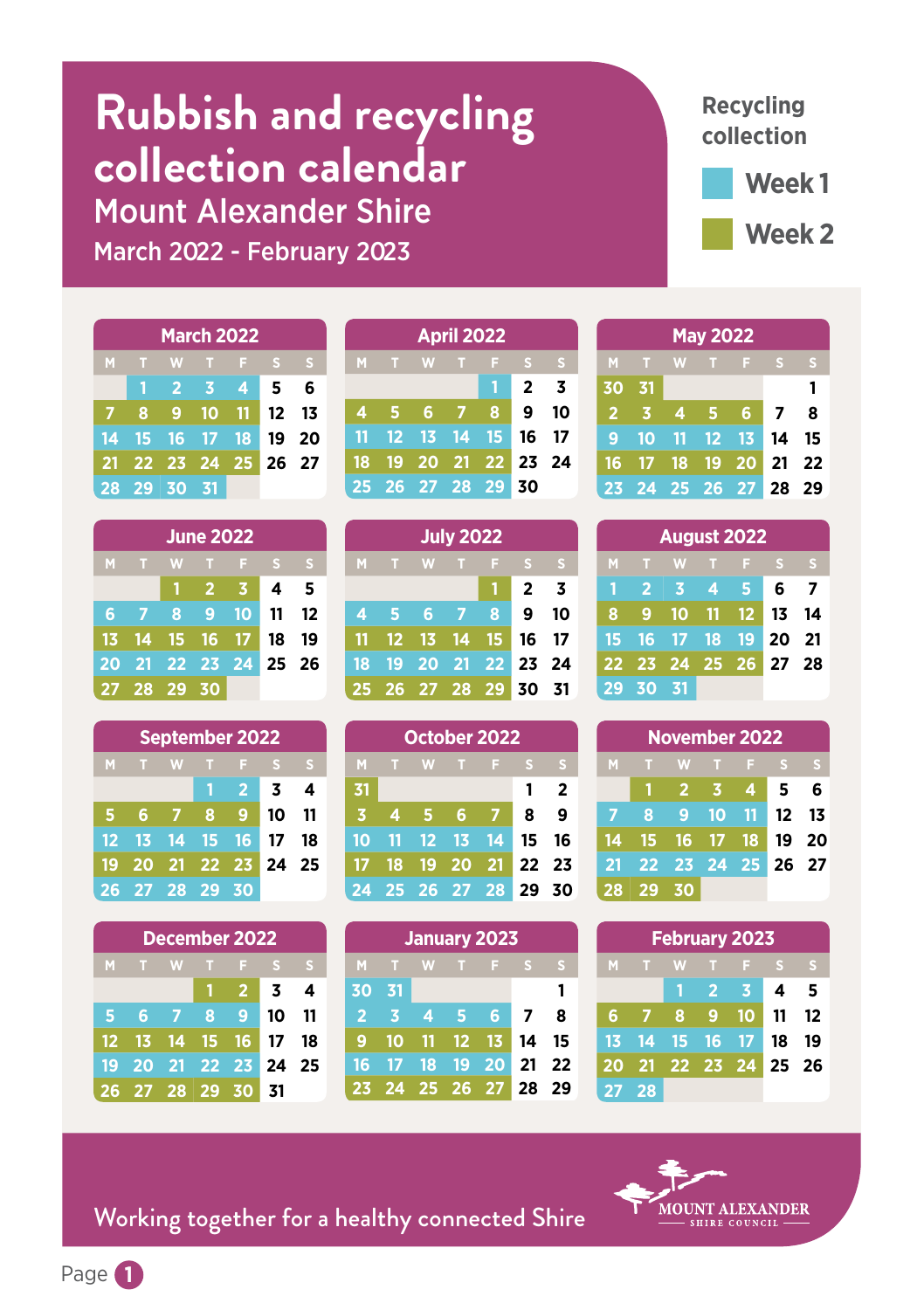## **Rubbish and recycling collection calendar** Mount Alexander Shire March 2022 - February 2023

#### **Recycling collection**

**Week 1**

**Week 2**

| <b>March 2022</b> |  |  |  |  |  |  |  |  |  |
|-------------------|--|--|--|--|--|--|--|--|--|
| s                 |  |  |  |  |  |  |  |  |  |
| 6                 |  |  |  |  |  |  |  |  |  |
| 12 13             |  |  |  |  |  |  |  |  |  |
| - 20              |  |  |  |  |  |  |  |  |  |
| 26 27             |  |  |  |  |  |  |  |  |  |
|                   |  |  |  |  |  |  |  |  |  |
|                   |  |  |  |  |  |  |  |  |  |

| <b>June 2022</b> |                   |   |                |     |    |       |  |  |  |  |
|------------------|-------------------|---|----------------|-----|----|-------|--|--|--|--|
| M                | ŵ                 | W | п              | в   | s  | s     |  |  |  |  |
|                  |                   | 1 | $\overline{2}$ | - 3 | 4  | 5     |  |  |  |  |
| 6                | 7                 | 8 | 9              | 10  | 11 | 12    |  |  |  |  |
| $13 -$           | 14                |   | 15 16          | 17  | 18 | 19    |  |  |  |  |
| 20               | 21                |   | 22 23 24       |     |    | 25 26 |  |  |  |  |
| -27              | $28\overline{29}$ |   | 30             |     |    |       |  |  |  |  |

| <b>September 2022</b> |                |          |   |                |    |     |  |  |  |
|-----------------------|----------------|----------|---|----------------|----|-----|--|--|--|
| М                     | т.             | <b>W</b> | Ĥ | Е              | s  | s   |  |  |  |
|                       |                |          | 1 | $\overline{2}$ | 3  | 4   |  |  |  |
| 5.                    | ♦              | 67       | € | -9             | 10 | -11 |  |  |  |
|                       | 12 13 14 15 16 |          |   |                | 17 | 18  |  |  |  |
| 19                    | 20             |          |   | 21 22 23 24 25 |    |     |  |  |  |
|                       | 26 27 28 29    |          |   | 30             |    |     |  |  |  |

| December 2022 |    |                |   |                                 |    |         |  |  |  |  |
|---------------|----|----------------|---|---------------------------------|----|---------|--|--|--|--|
| s             | s  | н              | т | W.                              | т  | M       |  |  |  |  |
| 4             | 3  | $\overline{2}$ | 1 |                                 |    |         |  |  |  |  |
| 11            | 10 | 9              | 8 | - 7.                            | -6 | -5.     |  |  |  |  |
| 18            | 17 | 16             |   | 13 14 15                        |    | $12-12$ |  |  |  |  |
| 25            | 24 | $-23$          |   | $\overline{21}$ 22              | 20 | 19      |  |  |  |  |
|               | 31 | 30             |   | $26 \quad 27 \quad 28 \quad 29$ |    |         |  |  |  |  |

|    | <b>April 2022</b> |                |     |       |                |    |  |  |  |
|----|-------------------|----------------|-----|-------|----------------|----|--|--|--|
| м  | ш                 | <b>W</b>       | Ó   | ы     | s              | s  |  |  |  |
|    |                   |                |     |       | $\overline{2}$ | 3  |  |  |  |
| 4  | -51               | T3             | UZ. | 43    | 9              | 10 |  |  |  |
| 11 | $12 \overline{ }$ | $-13$          | -14 | $-15$ | 16             | 17 |  |  |  |
| 18 |                   | 19 20 21 22    |     |       | 23 24          |    |  |  |  |
|    |                   | 25 26 27 28 29 |     |       | 30             |    |  |  |  |

| July 2022 |                   |             |     |                 |              |      |  |  |
|-----------|-------------------|-------------|-----|-----------------|--------------|------|--|--|
| М         | т.                | W           | т   | Е               | s            | s    |  |  |
|           |                   |             |     | 1               | $\mathbf{2}$ | 3    |  |  |
| 4         | -51               | G           | - 7 | 8               | 9            | 10   |  |  |
| 11        | $12 \overline{ }$ | 13          | 14  | 15              | 16           | 17   |  |  |
| 18        | 19                | 20          | 21  | $2\overline{2}$ | 23           | - 24 |  |  |
| 25        |                   | 26 27 28 29 |     |                 | 30           | -31  |  |  |

| October 2022 |    |               |             |        |       |    |  |  |  |
|--------------|----|---------------|-------------|--------|-------|----|--|--|--|
| M            | т. | W T           |             | Е      | s     | s  |  |  |  |
| 31           |    |               |             |        | 1     | 2  |  |  |  |
| К            | 4  | 45            | 6           | - 7    | 8     | 9  |  |  |  |
| 10           | 11 | $12 \quad 13$ |             | $14-1$ | 15    | 16 |  |  |  |
| 17           | 18 | 19 20         |             | $-21$  | 22 23 |    |  |  |  |
| 24           |    |               | 25 26 27 28 |        | 29    | 30 |  |  |  |

| <b>January 2023</b> |          |    |                |                   |       |       |  |  |  |
|---------------------|----------|----|----------------|-------------------|-------|-------|--|--|--|
| M.                  | <b>T</b> |    | W T F          |                   | s     | s     |  |  |  |
| 30                  | 31       |    |                |                   |       | 1     |  |  |  |
| $\overline{2}$      | -3       | Ły | 56             |                   | 7     | 8     |  |  |  |
| 9                   | 10       |    |                | $\sqrt{11}$ 12 13 | 14    | 15    |  |  |  |
| 16                  | 17       |    | 18 19 20       |                   |       | 21 22 |  |  |  |
|                     |          |    | 23 24 25 26 27 |                   | 28 29 |       |  |  |  |

| <b>May 2022</b> |    |    |       |                 |    |    |  |  |
|-----------------|----|----|-------|-----------------|----|----|--|--|
| М               | п  | W  | т     | Е               | s  | s  |  |  |
| 30              | 31 |    |       |                 |    | 1  |  |  |
| $\overline{2}$  | 3  | 4  | -51   | 6               | 7  | 8  |  |  |
| 9               | 10 | 11 | 12    | 13 <sup>1</sup> | 14 | 15 |  |  |
| 16              | 17 | 18 | 19    | $-20$           | 21 | 22 |  |  |
|                 | 24 |    | 25 26 | $-27$           | 28 | 29 |  |  |

| <b>August 2022</b> |                      |      |          |                   |    |      |  |  |  |
|--------------------|----------------------|------|----------|-------------------|----|------|--|--|--|
| М                  | i Tiro               | W.   | <b>T</b> | - 61              | s  | s    |  |  |  |
|                    | $\mathcal{P}$        | -31  | 45       |                   | 6  | 7    |  |  |  |
| 8                  | 9                    | 10   | 11       | $12 \overline{ }$ | 13 | 14   |  |  |  |
| 15                 | 16                   | - 17 | 18       | 19 <sup>1</sup>   | 20 | - 21 |  |  |  |
|                    | 22 23 24 25 26 27 28 |      |          |                   |    |      |  |  |  |
| 29                 | 30                   | - 31 |          |                   |    |      |  |  |  |

| <b>November 2022</b> |     |                   |              |                 |    |       |  |  |  |
|----------------------|-----|-------------------|--------------|-----------------|----|-------|--|--|--|
| М                    | ŵ   | <b>W</b>          | $\mathbf{T}$ | - F             | s  | s     |  |  |  |
|                      | 1   | 2                 | $3 \quad 4$  |                 | 5  | 6     |  |  |  |
|                      | я   | Q,                | -10          | 11 <sup>1</sup> | 12 | 13    |  |  |  |
| 14                   | 15. | 16 17             |              | - 18 -          |    | 19 20 |  |  |  |
| 21                   |     | 22 23 24 25 26 27 |              |                 |    |       |  |  |  |
|                      | -29 |                   |              |                 |    |       |  |  |  |

| <b>February 2023</b> |     |     |          |               |    |    |  |  |  |
|----------------------|-----|-----|----------|---------------|----|----|--|--|--|
| м                    |     | W   | т        | Φ             | s  | s  |  |  |  |
|                      |     |     | -2       | -3            | 4  | 5  |  |  |  |
| 6                    | 7   | R   | <b>g</b> | 10            | 11 | 12 |  |  |  |
| 13.                  | -14 | -15 | -16      | 17            | 18 | 19 |  |  |  |
| 20                   |     |     |          | $21$ 22 23 24 | 25 | 26 |  |  |  |
|                      | 28  |     |          |               |    |    |  |  |  |



Working together for a healthy connected Shire

Page **1**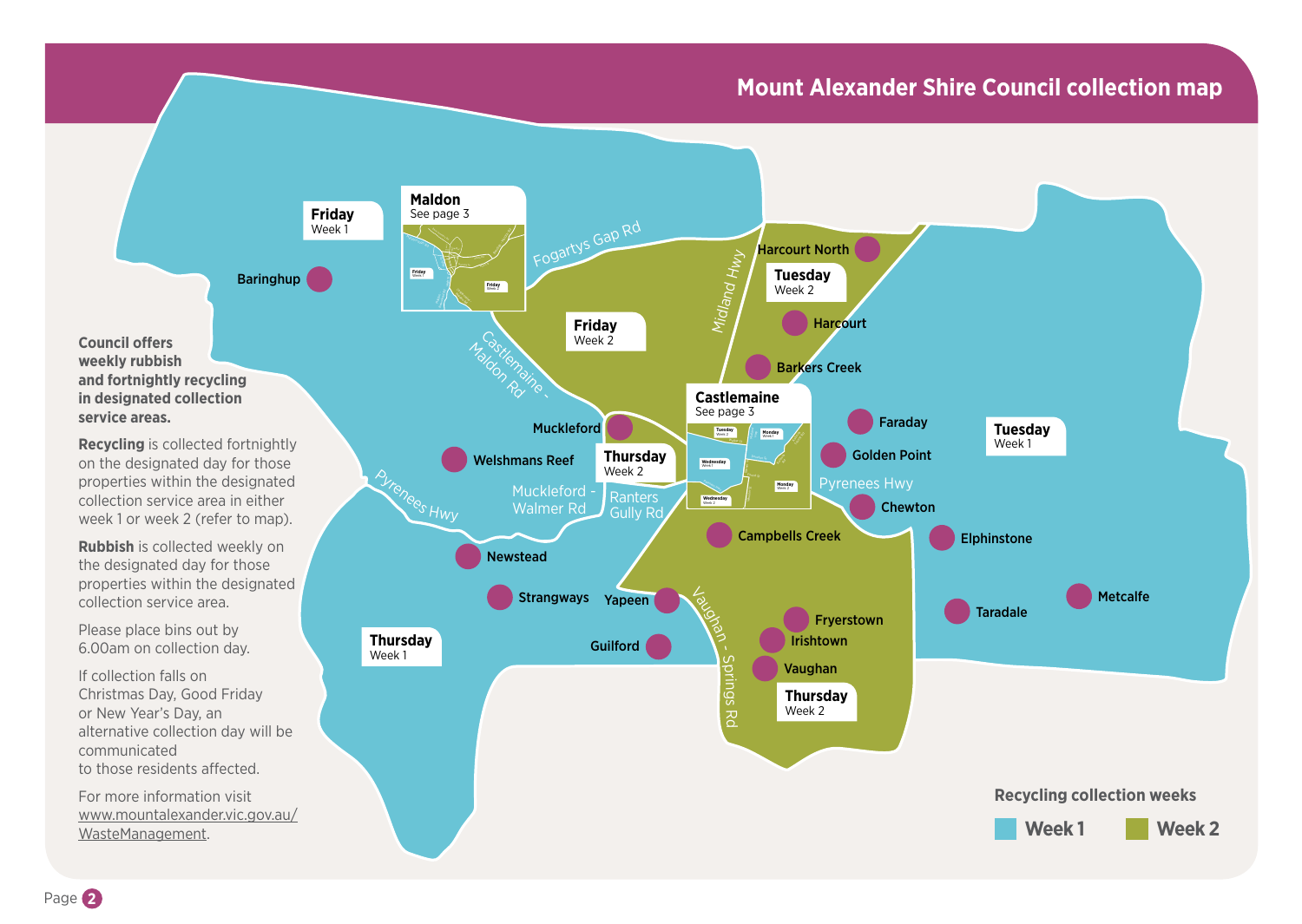#### **Mount Alexander Shire Council collection map**